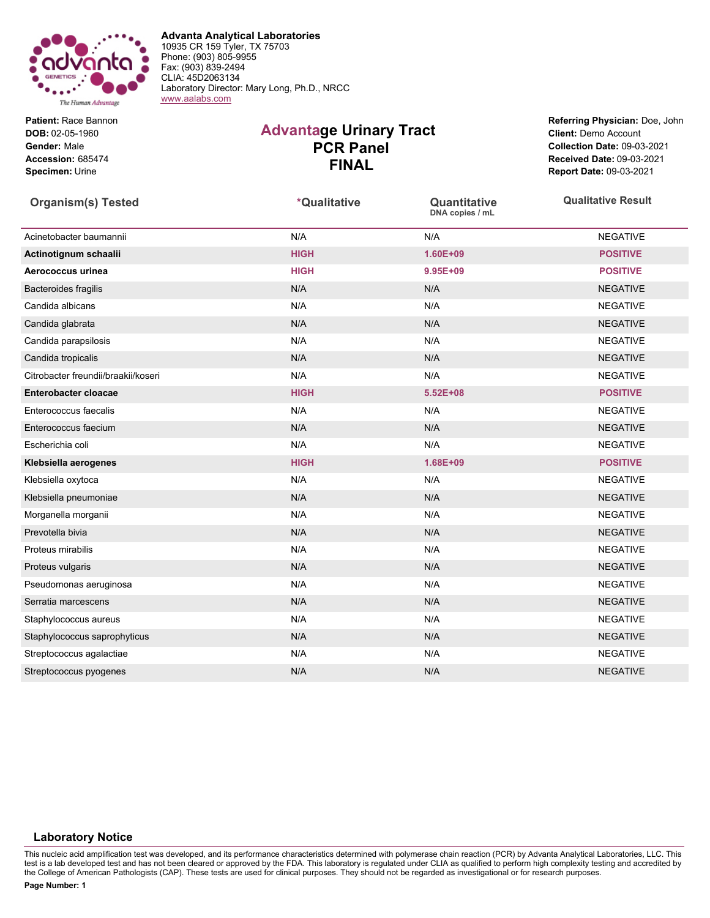

**Advanta Analytical Laboratories** 10935 CR 159 Tyler, TX 75703 Phone: (903) 805-9955 Fax: (903) 839-2494 CLIA: 45D2063134 Laboratory Director: Mary Long, Ph.D., NRCC [www.aalabs.com](https://www.aalabs.com)

**Patient:** Race Bannon **DOB:** 02-05-1960 **Gender:** Male **Accession:** 685474 **Specimen:** Urine

## **Advantage Urinary Tract PCR Panel FINAL**

**Referring Physician:** Doe, John **Client:** Demo Account **Collection Date:** 09-03-2021 **Received Date:** 09-03-2021 **Report Date:** 09-03-2021

| <b>Organism(s) Tested</b>           | *Qualitative | Quantitative<br>DNA copies / mL | <b>Qualitative Result</b> |
|-------------------------------------|--------------|---------------------------------|---------------------------|
| Acinetobacter baumannii             | N/A          | N/A                             | <b>NEGATIVE</b>           |
| Actinotignum schaalii               | <b>HIGH</b>  | $1.60E + 09$                    | <b>POSITIVE</b>           |
| Aerococcus urinea                   | <b>HIGH</b>  | $9.95E + 09$                    | <b>POSITIVE</b>           |
| Bacteroides fragilis                | N/A          | N/A                             | <b>NEGATIVE</b>           |
| Candida albicans                    | N/A          | N/A                             | <b>NEGATIVE</b>           |
| Candida glabrata                    | N/A          | N/A                             | <b>NEGATIVE</b>           |
| Candida parapsilosis                | N/A          | N/A                             | <b>NEGATIVE</b>           |
| Candida tropicalis                  | N/A          | N/A                             | <b>NEGATIVE</b>           |
| Citrobacter freundii/braakii/koseri | N/A          | N/A                             | <b>NEGATIVE</b>           |
| <b>Enterobacter cloacae</b>         | <b>HIGH</b>  | $5.52E + 08$                    | <b>POSITIVE</b>           |
| Enterococcus faecalis               | N/A          | N/A                             | <b>NEGATIVE</b>           |
| Enterococcus faecium                | N/A          | N/A                             | <b>NEGATIVE</b>           |
| Escherichia coli                    | N/A          | N/A                             | <b>NEGATIVE</b>           |
| Klebsiella aerogenes                | <b>HIGH</b>  | 1.68E+09                        | <b>POSITIVE</b>           |
| Klebsiella oxytoca                  | N/A          | N/A                             | <b>NEGATIVE</b>           |
| Klebsiella pneumoniae               | N/A          | N/A                             | <b>NEGATIVE</b>           |
| Morganella morganii                 | N/A          | N/A                             | <b>NEGATIVE</b>           |
| Prevotella bivia                    | N/A          | N/A                             | <b>NEGATIVE</b>           |
| Proteus mirabilis                   | N/A          | N/A                             | <b>NEGATIVE</b>           |
| Proteus vulgaris                    | N/A          | N/A                             | <b>NEGATIVE</b>           |
| Pseudomonas aeruginosa              | N/A          | N/A                             | <b>NEGATIVE</b>           |
| Serratia marcescens                 | N/A          | N/A                             | <b>NEGATIVE</b>           |
| Staphylococcus aureus               | N/A          | N/A                             | <b>NEGATIVE</b>           |
| Staphylococcus saprophyticus        | N/A          | N/A                             | <b>NEGATIVE</b>           |
| Streptococcus agalactiae            | N/A          | N/A                             | <b>NEGATIVE</b>           |
| Streptococcus pyogenes              | N/A          | N/A                             | <b>NEGATIVE</b>           |

## **Laboratory Notice**

This nucleic acid amplification test was developed, and its performance characteristics determined with polymerase chain reaction (PCR) by Advanta Analytical Laboratories, LLC. This test is a lab developed test and has not been cleared or approved by the FDA. This laboratory is regulated under CLIA as qualified to perform high complexity testing and accredited by the College of American Pathologists (CAP). These tests are used for clinical purposes. They should not be regarded as investigational or for research purposes.